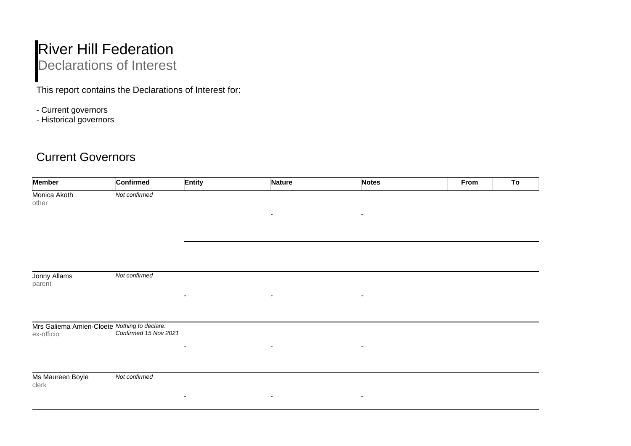## **River Hill Federation** Declarations of Interest

This report contains the Declarations of Interest for:

- Current governors
- Historical governors

## Current Governors

| <b>Member</b>             | <b>Confirmed</b>                                                                 | <b>Entity</b>            | <b>Nature</b>            | <b>Notes</b>             | From<br>To |
|---------------------------|----------------------------------------------------------------------------------|--------------------------|--------------------------|--------------------------|------------|
| Monica Akoth<br>other     | Not confirmed                                                                    |                          |                          |                          |            |
|                           |                                                                                  |                          | $\overline{\phantom{a}}$ | $\overline{\phantom{a}}$ |            |
|                           |                                                                                  |                          |                          |                          |            |
|                           |                                                                                  |                          |                          |                          |            |
| Jonny Allams              | Not confirmed                                                                    |                          |                          |                          |            |
| parent                    |                                                                                  |                          |                          |                          |            |
|                           |                                                                                  | ٠                        | $\overline{\phantom{a}}$ | $\overline{\phantom{a}}$ |            |
|                           |                                                                                  |                          |                          |                          |            |
| ex-officio                | Mrs Galiema Amien-Cloete Nothing to declare:<br>ex-officio Confirmed 15 Nov 2021 |                          |                          |                          |            |
|                           |                                                                                  | ٠                        | $\overline{\phantom{a}}$ | $\overline{\phantom{a}}$ |            |
|                           |                                                                                  |                          |                          |                          |            |
| Ms Maureen Boyle<br>clerk | Not confirmed                                                                    |                          |                          |                          |            |
|                           |                                                                                  | $\overline{\phantom{a}}$ | $\overline{\phantom{a}}$ | $\overline{\phantom{a}}$ |            |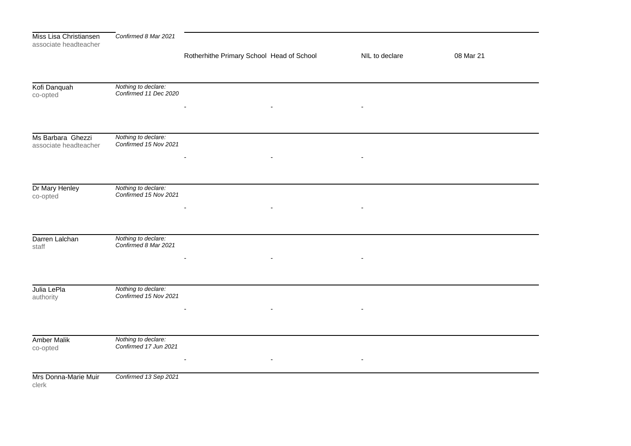| Miss Lisa Christiansen<br>associate headteacher | Confirmed 8 Mar 2021                         |                                           |                          |           |
|-------------------------------------------------|----------------------------------------------|-------------------------------------------|--------------------------|-----------|
|                                                 |                                              | Rotherhithe Primary School Head of School | NIL to declare           | 08 Mar 21 |
|                                                 |                                              |                                           |                          |           |
| Kofi Danquah<br>co-opted                        | Nothing to declare:<br>Confirmed 11 Dec 2020 |                                           |                          |           |
|                                                 |                                              | $\blacksquare$                            | $\overline{\phantom{a}}$ |           |
| Ms Barbara Ghezzi                               | Nothing to declare:                          |                                           |                          |           |
| associate headteacher                           | Confirmed 15 Nov 2021                        |                                           |                          |           |
|                                                 |                                              |                                           |                          |           |
| Dr Mary Henley                                  | Nothing to declare:                          |                                           |                          |           |
| co-opted                                        | Confirmed 15 Nov 2021                        |                                           |                          |           |
|                                                 |                                              |                                           |                          |           |
| Darren Lalchan                                  | Nothing to declare:                          |                                           |                          |           |
| staff                                           | Confirmed 8 Mar 2021                         |                                           |                          |           |
|                                                 |                                              |                                           |                          |           |
| Julia LePla                                     | Nothing to declare:                          |                                           |                          |           |
| authority                                       | Confirmed 15 Nov 2021                        | $\blacksquare$                            |                          |           |
|                                                 |                                              |                                           |                          |           |
| <b>Amber Malik</b><br>co-opted                  | Nothing to declare:<br>Confirmed 17 Jun 2021 |                                           |                          |           |
|                                                 |                                              |                                           |                          |           |
| Mrs Donna-Marie Muir<br>clerk                   | Confirmed 13 Sep 2021                        |                                           |                          |           |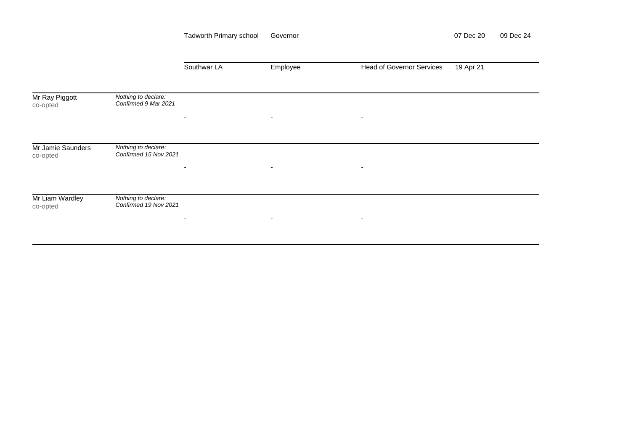|                               |                                              | <b>Tadworth Primary school</b> | Governor                 |                                  | 07 Dec 20 | 09 Dec 24 |
|-------------------------------|----------------------------------------------|--------------------------------|--------------------------|----------------------------------|-----------|-----------|
|                               |                                              | Southwar LA                    | Employee                 | <b>Head of Governor Services</b> | 19 Apr 21 |           |
| Mr Ray Piggott<br>co-opted    | Nothing to declare:<br>Confirmed 9 Mar 2021  | $\sim$                         | $\overline{\phantom{a}}$ | $\overline{\phantom{a}}$         |           |           |
| Mr Jamie Saunders<br>co-opted | Nothing to declare:<br>Confirmed 15 Nov 2021 |                                |                          |                                  |           |           |
| Mr Liam Wardley               | Nothing to declare:<br>Confirmed 19 Nov 2021 | ۰                              | $\overline{\phantom{a}}$ | ٠                                |           |           |
| co-opted                      |                                              | ٠                              | $\overline{\phantom{a}}$ | ٠                                |           |           |